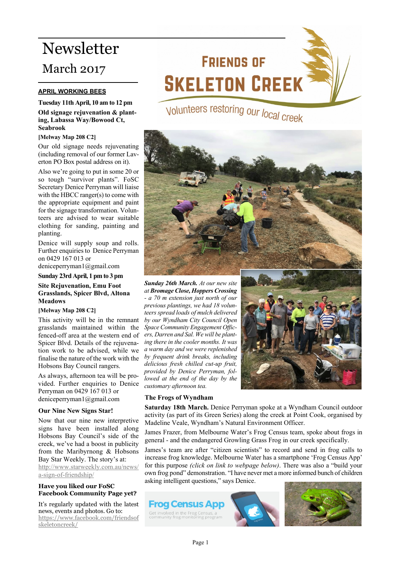## Newsletter March 2017

## **APRIL WORKING BEES**

**Tuesday 11th April, 10 am to 12 pm Old signage rejuvenation & planting, Labassa Way/Bowood Ct, Seabrook**

#### **[Melway Map 208 C2]**

Our old signage needs rejuvenating (including removal of our former Laverton PO Box postal address on it).

Also we're going to put in some 20 or so tough "survivor plants". FoSC Secretary Denice Perryman will liaise with the HBCC ranger(s) to come with the appropriate equipment and paint for the signage transformation. Volunteers are advised to wear suitable clothing for sanding, painting and planting.

Denice will supply soup and rolls. Further enquiries to Denice Perryman on 0429 167 013 or

deniceperryman1@gmail.com

**Sunday 23rd April, 1 pm to 3 pm Site Rejuvenation, Emu Foot Grasslands, Spicer Blvd, Altona Meadows**

#### **[Melway Map 208 C2]**

This activity will be in the remnant grasslands maintained within the fenced-off area at the western end of Spicer Blvd. Details of the rejuvenation work to be advised, while we finalise the nature of the work with the Hobsons Bay Council rangers.

As always, afternoon tea will be provided. Further enquiries to Denice Perryman on 0429 167 013 or deniceperryman1@gmail.com

## **Our Nine New Signs Star!**

Now that our nine new interpretive signs have been installed along Hobsons Bay Council's side of the creek, we've had a boost in publicity from the Maribyrnong & Hobsons Bay Star Weekly. The story's at: [http://www.starweekly.com.au/news/](http://www.starweekly.com.au/news/a-sign-of-friendship/)

[a-sign-of-friendship/](http://www.starweekly.com.au/news/a-sign-of-friendship/)

## **Have you liked our FoSC Facebook Community Page yet?**

It's regularly updated with the latest news, events and photos. Go to: [https://www.facebook.com/friendsof](https://www.facebook.com/friendsofskeletoncreek/) [skeletoncreek/](https://www.facebook.com/friendsofskeletoncreek/)

# **FRIENDS OF SKELETON CREEK**

Volunteers restoring our local creek



*Sunday 26th March. At our new site at Bromage Close, Hoppers Crossing - a 70 m extension just north of our previous plantings, we had 18 volunteers spread loads of mulch delivered by our Wyndham City Council Open Space Community Engagement Officers, Darren and Sal. We will be planting there in the cooler months. It was a warm day and we were replenished by frequent drink breaks, including delicious fresh chilled cut-up fruit, provided by Denice Perryman, followed at the end of the day by the customary afternoon tea.*



## **The Frogs of Wyndham**

**Saturday 18th March.** Denice Perryman spoke at a Wyndham Council outdoor activity (as part of its Green Series) along the creek at Point Cook, organised by Madeline Veale, Wyndham's Natural Environment Officer.

James Frazer, from Melbourne Water's Frog Census team, spoke about frogs in general - and the endangered Growling Grass Frog in our creek specifically.

James's team are after "citizen scientists" to record and send in frog calls to increase frog knowledge. Melbourne Water has a smartphone 'Frog Census App' for this purpose *(click on link to webpage below)*. There was also a "build your own frog pond" demonstration. "I have never met a more informed bunch of children asking intelligent questions," says Denice.

**Frog Census Apr** Get involved in the Frog Census, a<br>community frog monitoring program



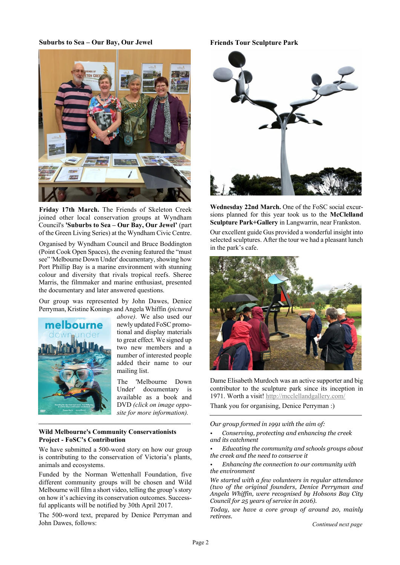## **Suburbs to Sea – Our Bay, Our Jewel**



**Friday 17th March.** The Friends of Skeleton Creek joined other local conservation groups at Wyndham Council's **'Suburbs to Sea – Our Bay, Our Jewel'** (part of the Green Living Series) at the Wyndham Civic Centre.

Organised by Wyndham Council and Bruce Boddington (Point Cook Open Spaces), the evening featured the "must see" 'Melbourne Down Under' documentary, showing how Port Phillip Bay is a marine environment with stunning colour and diversity that rivals tropical reefs. Sheree Marris, the filmmaker and marine enthusiast, presented the documentary and later answered questions.

Our group was represented by John Dawes, Denice Perryman, Kristine Konings and Angela Whiffin *(pictured*



*above).* We also used our newly updated FoSC promotional and display materials to great effect. We signed up two new members and a number of interested people added their name to our mailing list.

The 'Melbourne Down Under' documentary is available as a book and DVD *(click on image opposite for more information).*

## **Wild Melbourne's Community Conservationists Project - FoSC's Contribution**

We have submitted a 500-word story on how our group is contributing to the conservation of Victoria's plants, animals and ecosystems.

Funded by the Norman Wettenhall Foundation, five different community groups will be chosen and Wild Melbourne will film a short video, telling the group's story on how it's achieving its conservation outcomes. Successful applicants will be notified by 30th April 2017.

The 500-word text, prepared by Denice Perryman and John Dawes, follows:

## **Friends Tour Sculpture Park**



**Wednesday 22nd March.** One of the FoSC social excursions planned for this year took us to the **McClelland Sculpture Park+Gallery** in Langwarrin, near Frankston.

Our excellent guide Gus provided a wonderful insight into selected sculptures. After the tour we had a pleasant lunch in the park's cafe.



Dame Elisabeth Murdoch was an active supporter and big contributor to the sculpture park since its inception in 1971. Worth a visit! <http://mcclellandgallery.com/>

Thank you for organising, Denice Perryman :)

*Our group formed in 1991 with the aim of:*

*• Conserving, protecting and enhancing the creek and its catchment*

*• Educating the community and schools groups about the creek and the need to conserve it*

*• Enhancing the connection to our community with the environment*

*We started with a few volunteers in regular attendance (two of the original founders, Denice Perryman and Angela Whiffin, were recognised by Hobsons Bay City Council for 25 years of service in 2016).*

*Today, we have a core group of around 20, mainly retirees.*

*Continued next page*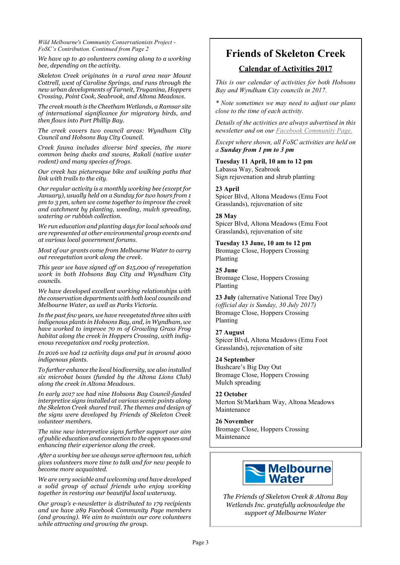*Wild Melbourne's Community Conservationists Project - FoSC's Contribution. Continued from Page 2*

*We have up to 40 volunteers coming along to a working bee, depending on the activity.*

*Skeleton Creek originates in a rural area near Mount Cottrell, west of Caroline Springs, and runs through the new urban developments of Tarneit, Truganina, Hoppers Crossing, Point Cook, Seabrook, and Altona Meadows.*

*The creek mouth is the Cheetham Wetlands, a Ramsar site of international significance for migratory birds, and then flows into Port Phillip Bay.*

*The creek covers two council areas: Wyndham City Council and Hobsons Bay City Council.*

*Creek fauna includes diverse bird species, the more common being ducks and swans, Rakali (native water rodent) and many species of frogs.*

*Our creek has picturesque bike and walking paths that link with trails to the city.*

*Our regular activity is a monthly working bee (except for January), usually held on a Sunday for two hours from 1 pm to 3 pm, when we come together to improve the creek and catchment by planting, weeding, mulch spreading, watering or rubbish collection.*

*We run education and planting days for local schools and are represented at other environmental group events and at various local government forums.*

*Most of our grants come from Melbourne Water to carry out revegetation work along the creek.*

*This year we have signed off on \$15,000 of revegetation work in both Hobsons Bay City and Wyndham City councils.*

*We have developed excellent working relationships with the conservation departments with both local councils and Melbourne Water, as well as Parks Victoria.*

*In the past few years, we have revegetated three sites with indigenous plants in Hobsons Bay, and, in Wyndham, we have worked to improve 70 m of Growling Grass Frog habitat along the creek in Hoppers Crossing, with indigenous revegetation and rocky protection.*

*In 2016 we had 12 activity days and put in around 4000 indigenous plants.*

*To further enhance the local biodiversity, we also installed six microbat boxes (funded by the Altona Lions Club) along the creek in Altona Meadows.*

*In early 2017 we had nine Hobsons Bay Council-funded interpretive signs installed at various scenic points along the Skeleton Creek shared trail. The themes and design of the signs were developed by Friends of Skeleton Creek volunteer members.*

*The nine new interpretive signs further support our aim of public education and connection to the open spaces and enhancing their experience along the creek.*

*After a working bee we always serve afternoon tea, which gives volunteers more time to talk and for new people to become more acquainted.*

*We are very sociable and welcoming and have developed a solid group of actual friends who enjoy working together in restoring our beautiful local waterway.*

*Our group's e-newsletter is distributed to 179 recipients and we have 289 Facebook Community Page members (and growing). We aim to maintain our core volunteers while attracting and growing the group.*

## **Friends of Skeleton Creek**

## **Calendar of Activities 2017**

*This is our calendar of activities for both Hobsons Bay and Wyndham City councils in 2017.*

*\* Note sometimes we may need to adjust our plans close to the time of each activity.*

*Details of the activities are always advertised in this newsletter and on our [Facebook Community Page.](https://www.facebook.com/friendsofskeletoncreek/)*

*Except where shown, all FoSC activities are held on a Sunday from 1 pm to 3 pm*

**Tuesday 11 April, 10 am to 12 pm** Labassa Way, Seabrook Sign rejuvenation and shrub planting

## **23 April**

Spicer Blvd, Altona Meadows (Emu Foot Grasslands), rejuvenation of site

## **28 May**

Spicer Blvd, Altona Meadows (Emu Foot Grasslands), rejuvenation of site

**Tuesday 13 June, 10 am to 12 pm** Bromage Close, Hoppers Crossing Planting

## **25 June**

Bromage Close, Hoppers Crossing Planting

**23 July** (alternative National Tree Day) *(official day is Sunday, 30 July 2017)* Bromage Close, Hoppers Crossing Planting

## **27 August**

Spicer Blvd, Altona Meadows (Emu Foot Grasslands), rejuvenation of site

## **24 September**

Bushcare's Big Day Out Bromage Close, Hoppers Crossing Mulch spreading

## **22 October**

Merton St/Markham Way, Altona Meadows Maintenance

**26 November** Bromage Close, Hoppers Crossing Maintenance



*The Friends of Skeleton Creek & Altona Bay Wetlands Inc. gratefully acknowledge the support of Melbourne Water*